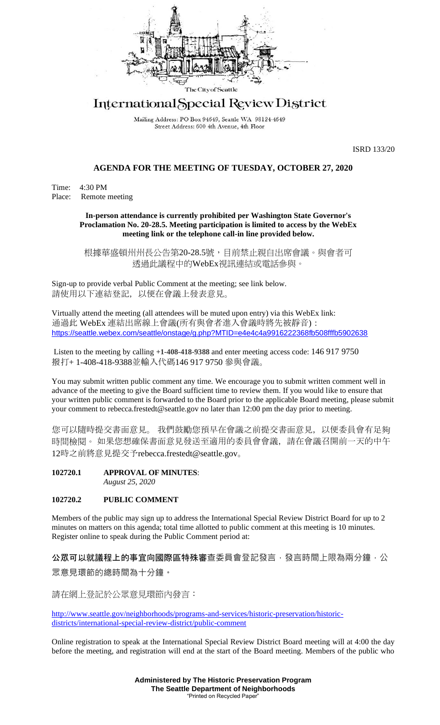

# International Special Review District

Mailing Address: PO Box 94649, Seattle WA 98124-4649 Street Address: 600 4th Avenue, 4th Floor

ISRD 133/20

#### **AGENDA FOR THE MEETING OF TUESDAY, OCTOBER 27, 2020**

Time: 4:30 PM Place: Remote meeting

#### **In-person attendance is currently prohibited per Washington State Governor's Proclamation No. 20-28.5. Meeting participation is limited to access by the WebEx meeting link or the telephone call-in line provided below.**

根據華盛頓州州長公告第20-28.5號,目前禁止親自出席會議。與會者可 透過此議程中的WebEx視訊連結或電話參與。

Sign-up to provide verbal Public Comment at the meeting; see link below. 請使用以下連結登記,以便在會議上發表意見。

Virtually attend the meeting (all attendees will be muted upon entry) via this WebEx link: 通過此 WebEx 連結出席線上會議(所有與會者進入會議時將先被靜音): <https://seattle.webex.com/seattle/onstage/g.php?MTID=e4e4c4a9916222368fb508fffb5902638>

Listen to the meeting by calling **+1-408-418-9388** and enter meeting access code: 146 917 9750 撥打+ 1-408-418-9388並輸入代碼146 917 9750 參與會議。

You may submit written public comment any time. We encourage you to submit written comment well in advance of the meeting to give the Board sufficient time to review them. If you would like to ensure that your written public comment is forwarded to the Board prior to the applicable Board meeting, please submit your comment to rebecca.frestedt@seattle.gov no later than 12:00 pm the day prior to meeting.

您可以隨時提交書面意見。 我們鼓勵您預早在會議之前提交書面意見,以便委員會有足夠 時間檢閱。 如果您想確保書面意見發送至適用的委員會會議,請在會議召開前一天的中午 12時之前將意見提交予rebecca.frestedt@seattle.gov。

**102720.1 APPROVAL OF MINUTES**: *August 25, 2020*

## **102720.2 PUBLIC COMMENT**

Members of the public may sign up to address the International Special Review District Board for up to 2 minutes on matters on this agenda; total time allotted to public comment at this meeting is 10 minutes. Register online to speak during the Public Comment period at:

公眾可以就議程上的事宜向國際區特殊審查委員會登記發言,發言時間上限為兩分鐘,公 眾意見環節的總時間為十分鐘。

請在網上登記於公眾意見環節內發言:

[http://www.seattle.gov/neighborhoods/programs-and-services/historic-preservation/historic](http://www.seattle.gov/neighborhoods/programs-and-services/historic-preservation/historic-districts/international-special-review-district/public-comment)[districts/international-special-review-district/public-comment](http://www.seattle.gov/neighborhoods/programs-and-services/historic-preservation/historic-districts/international-special-review-district/public-comment)

Online registration to speak at the International Special Review District Board meeting will at 4:00 the day before the meeting, and registration will end at the start of the Board meeting. Members of the public who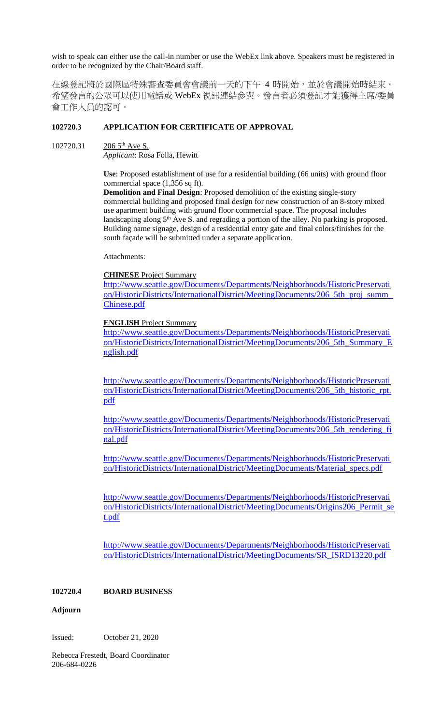wish to speak can either use the call-in number or use the WebEx link above. Speakers must be registered in order to be recognized by the Chair/Board staff.

在線登記將於國際區特殊審查委員會會議前一天的下午 4 時開始,並於會議開始時結束。 希望發言的公眾可以使用電話或 WebEx 視訊連結參與。發言者必須登記才能獲得主席/委員 會工作人員的認可。

# **102720.3 APPLICATION FOR CERTIFICATE OF APPROVAL**

#### 102720.31 206 5<sup>th</sup> Ave S.

*Applicant*: Rosa Folla, Hewitt

**Use**: Proposed establishment of use for a residential building (66 units) with ground floor commercial space (1,356 sq ft).

**Demolition and Final Design**: Proposed demolition of the existing single-story commercial building and proposed final design for new construction of an 8-story mixed use apartment building with ground floor commercial space. The proposal includes landscaping along 5<sup>th</sup> Ave S. and regrading a portion of the alley. No parking is proposed. Building name signage, design of a residential entry gate and final colors/finishes for the south façade will be submitted under a separate application.

Attachments:

#### **CHINESE** Project Summary

[http://www.seattle.gov/Documents/Departments/Neighborhoods/HistoricPreservati](http://www.seattle.gov/Documents/Departments/Neighborhoods/HistoricPreservation/HistoricDistricts/InternationalDistrict/MeetingDocuments/206_5th_proj_summ_Chinese.pdf) [on/HistoricDistricts/InternationalDistrict/MeetingDocuments/206\\_5th\\_proj\\_summ\\_](http://www.seattle.gov/Documents/Departments/Neighborhoods/HistoricPreservation/HistoricDistricts/InternationalDistrict/MeetingDocuments/206_5th_proj_summ_Chinese.pdf) [Chinese.pdf](http://www.seattle.gov/Documents/Departments/Neighborhoods/HistoricPreservation/HistoricDistricts/InternationalDistrict/MeetingDocuments/206_5th_proj_summ_Chinese.pdf)

# **ENGLISH** Project Summary

[http://www.seattle.gov/Documents/Departments/Neighborhoods/HistoricPreservati](http://www.seattle.gov/Documents/Departments/Neighborhoods/HistoricPreservation/HistoricDistricts/InternationalDistrict/MeetingDocuments/206_5th_Summary_English.pdf) [on/HistoricDistricts/InternationalDistrict/MeetingDocuments/206\\_5th\\_Summary\\_E](http://www.seattle.gov/Documents/Departments/Neighborhoods/HistoricPreservation/HistoricDistricts/InternationalDistrict/MeetingDocuments/206_5th_Summary_English.pdf) [nglish.pdf](http://www.seattle.gov/Documents/Departments/Neighborhoods/HistoricPreservation/HistoricDistricts/InternationalDistrict/MeetingDocuments/206_5th_Summary_English.pdf)

[http://www.seattle.gov/Documents/Departments/Neighborhoods/HistoricPreservati](http://www.seattle.gov/Documents/Departments/Neighborhoods/HistoricPreservation/HistoricDistricts/InternationalDistrict/MeetingDocuments/206_5th_historic_rpt.pdf) [on/HistoricDistricts/InternationalDistrict/MeetingDocuments/206\\_5th\\_historic\\_rpt.](http://www.seattle.gov/Documents/Departments/Neighborhoods/HistoricPreservation/HistoricDistricts/InternationalDistrict/MeetingDocuments/206_5th_historic_rpt.pdf) [pdf](http://www.seattle.gov/Documents/Departments/Neighborhoods/HistoricPreservation/HistoricDistricts/InternationalDistrict/MeetingDocuments/206_5th_historic_rpt.pdf)

[http://www.seattle.gov/Documents/Departments/Neighborhoods/HistoricPreservati](http://www.seattle.gov/Documents/Departments/Neighborhoods/HistoricPreservation/HistoricDistricts/InternationalDistrict/MeetingDocuments/206_5th_rendering_final.pdf) [on/HistoricDistricts/InternationalDistrict/MeetingDocuments/206\\_5th\\_rendering\\_fi](http://www.seattle.gov/Documents/Departments/Neighborhoods/HistoricPreservation/HistoricDistricts/InternationalDistrict/MeetingDocuments/206_5th_rendering_final.pdf) [nal.pdf](http://www.seattle.gov/Documents/Departments/Neighborhoods/HistoricPreservation/HistoricDistricts/InternationalDistrict/MeetingDocuments/206_5th_rendering_final.pdf)

[http://www.seattle.gov/Documents/Departments/Neighborhoods/HistoricPreservati](http://www.seattle.gov/Documents/Departments/Neighborhoods/HistoricPreservation/HistoricDistricts/InternationalDistrict/MeetingDocuments/Material_specs.pdf) [on/HistoricDistricts/InternationalDistrict/MeetingDocuments/Material\\_specs.pdf](http://www.seattle.gov/Documents/Departments/Neighborhoods/HistoricPreservation/HistoricDistricts/InternationalDistrict/MeetingDocuments/Material_specs.pdf)

[http://www.seattle.gov/Documents/Departments/Neighborhoods/HistoricPreservati](http://www.seattle.gov/Documents/Departments/Neighborhoods/HistoricPreservation/HistoricDistricts/InternationalDistrict/MeetingDocuments/Origins206_Permit_set.pdf) [on/HistoricDistricts/InternationalDistrict/MeetingDocuments/Origins206\\_Permit\\_se](http://www.seattle.gov/Documents/Departments/Neighborhoods/HistoricPreservation/HistoricDistricts/InternationalDistrict/MeetingDocuments/Origins206_Permit_set.pdf) [t.pdf](http://www.seattle.gov/Documents/Departments/Neighborhoods/HistoricPreservation/HistoricDistricts/InternationalDistrict/MeetingDocuments/Origins206_Permit_set.pdf)

[http://www.seattle.gov/Documents/Departments/Neighborhoods/HistoricPreservati](http://www.seattle.gov/Documents/Departments/Neighborhoods/HistoricPreservation/HistoricDistricts/InternationalDistrict/MeetingDocuments/SR_ISRD13220.pdf) [on/HistoricDistricts/InternationalDistrict/MeetingDocuments/SR\\_ISRD13220.pdf](http://www.seattle.gov/Documents/Departments/Neighborhoods/HistoricPreservation/HistoricDistricts/InternationalDistrict/MeetingDocuments/SR_ISRD13220.pdf)

## **102720.4 BOARD BUSINESS**

#### **Adjourn**

Issued: October 21, 2020

Rebecca Frestedt, Board Coordinator 206-684-0226